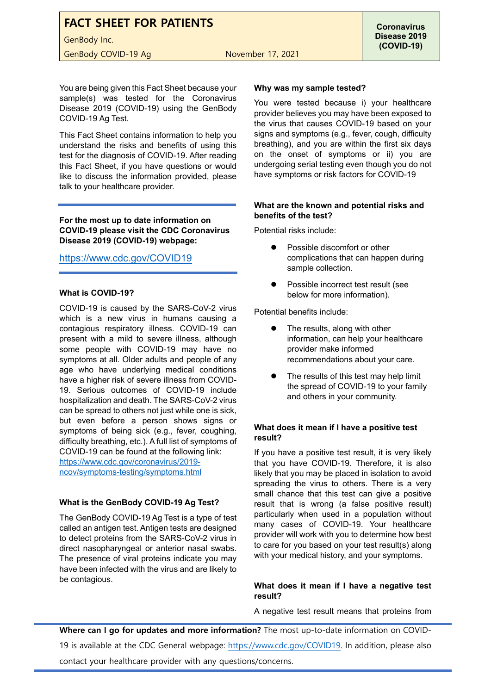# **FACT SHEET FOR PATIENTS**

GenBody Inc.

GenBody COVID-19 Ag November 17, 2021

You are being given this Fact Sheet because your sample(s) was tested for the Coronavirus Disease 2019 (COVID-19) using the GenBody COVID-19 Ag Test.

This Fact Sheet contains information to help you understand the risks and benefits of using this test for the diagnosis of COVID-19. After reading this Fact Sheet, if you have questions or would like to discuss the information provided, please talk to your healthcare provider.

**For the most up to date information on COVID-19 please visit the CDC Coronavirus Disease 2019 (COVID-19) webpage:**

# <https://www.cdc.gov/COVID19>

## **What is COVID-19?**

COVID-19 is caused by the SARS-CoV-2 virus which is a new virus in humans causing a contagious respiratory illness. COVID-19 can present with a mild to severe illness, although some people with COVID-19 may have no symptoms at all. Older adults and people of any age who have underlying medical conditions have a higher risk of severe illness from COVID-19. Serious outcomes of COVID-19 include hospitalization and death. The SARS-CoV-2 virus can be spread to others not just while one is sick, but even before a person shows signs or symptoms of being sick (e.g., fever, coughing, difficulty breathing, etc.). A full list of symptoms of COVID-19 can be found at the following link: [https://www.cdc.gov/coronavirus/2019](https://www.cdc.gov/coronavirus/2019-ncov/symptoms-testing/symptoms.html) [ncov/symptoms-testing/symptoms.html](https://www.cdc.gov/coronavirus/2019-ncov/symptoms-testing/symptoms.html)

#### **What is the GenBody COVID-19 Ag Test?**

The GenBody COVID-19 Ag Test is a type of test called an antigen test. Antigen tests are designed to detect proteins from the SARS-CoV-2 virus in direct nasopharyngeal or anterior nasal swabs. The presence of viral proteins indicate you may have been infected with the virus and are likely to be contagious.

#### **Why was my sample tested?**

You were tested because i) your healthcare provider believes you may have been exposed to the virus that causes COVID-19 based on your signs and symptoms (e.g., fever, cough, difficulty breathing), and you are within the first six days on the onset of symptoms or ii) you are undergoing serial testing even though you do not have symptoms or risk factors for COVID-19

#### **What are the known and potential risks and benefits of the test?**

Potential risks include:

- Possible discomfort or other complications that can happen during sample collection.
- Possible incorrect test result (see below for more information).

Potential benefits include:

- The results, along with other information, can help your healthcare provider make informed recommendations about your care.
- The results of this test may help limit the spread of COVID-19 to your family and others in your community.

### **What does it mean if I have a positive test result?**

If you have a positive test result, it is very likely that you have COVID-19. Therefore, it is also likely that you may be placed in isolation to avoid spreading the virus to others. There is a very small chance that this test can give a positive result that is wrong (a false positive result) particularly when used in a population without many cases of COVID-19. Your healthcare provider will work with you to determine how best to care for you based on your test result(s) along with your medical history, and your symptoms.

#### **What does it mean if I have a negative test result?**

A negative test result means that proteins from

**Where can I go for updates and more information?** The most up-to-date information on COVID-19 is available at the CDC General webpage: [https://www.cdc.gov/COVID19.](https://www.cdc.gov/COVID19) In addition, please also contact your healthcare provider with any questions/concerns.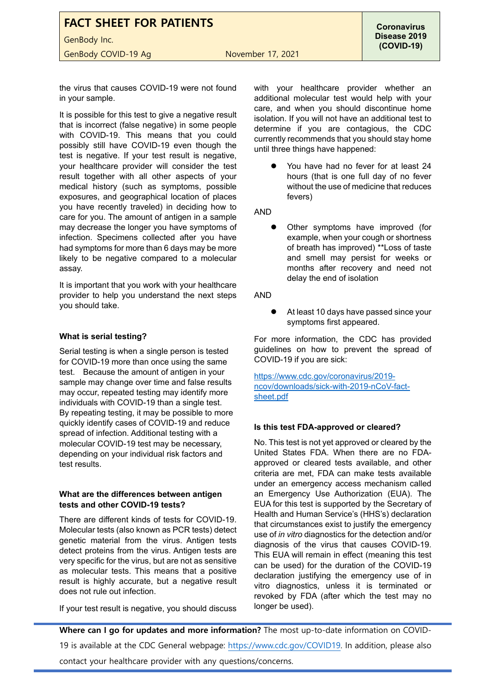**FACT SHEET FOR PATIENTS** GenBody Inc. GenBody COVID-19 Ag November 17, 2021

the virus that causes COVID-19 were not found in your sample.

It is possible for this test to give a negative result that is incorrect (false negative) in some people with COVID-19. This means that you could possibly still have COVID-19 even though the test is negative. If your test result is negative, your healthcare provider will consider the test result together with all other aspects of your medical history (such as symptoms, possible exposures, and geographical location of places you have recently traveled) in deciding how to care for you. The amount of antigen in a sample may decrease the longer you have symptoms of infection. Specimens collected after you have had symptoms for more than 6 days may be more likely to be negative compared to a molecular assay.

It is important that you work with your healthcare provider to help you understand the next steps you should take.

#### **What is serial testing?**

Serial testing is when a single person is tested for COVID-19 more than once using the same test. Because the amount of antigen in your sample may change over time and false results may occur, repeated testing may identify more individuals with COVID-19 than a single test. By repeating testing, it may be possible to more quickly identify cases of COVID-19 and reduce spread of infection. Additional testing with a molecular COVID-19 test may be necessary, depending on your individual risk factors and test results.

#### **What are the differences between antigen tests and other COVID-19 tests?**

There are different kinds of tests for COVID-19. Molecular tests (also known as PCR tests) detect genetic material from the virus. Antigen tests detect proteins from the virus. Antigen tests are very specific for the virus, but are not as sensitive as molecular tests. This means that a positive result is highly accurate, but a negative result does not rule out infection.

If your test result is negative, you should discuss

with your healthcare provider whether an additional molecular test would help with your care, and when you should discontinue home isolation. If you will not have an additional test to determine if you are contagious, the CDC currently recommends that you should stay home until three things have happened:

 You have had no fever for at least 24 hours (that is one full day of no fever without the use of medicine that reduces fevers)

AND

 Other symptoms have improved (for example, when your cough or shortness of breath has improved) \*\*Loss of taste and smell may persist for weeks or months after recovery and need not delay the end of isolation

AND

 At least 10 days have passed since your symptoms first appeared.

For more information, the CDC has provided guidelines on how to prevent the spread of COVID-19 if you are sick:

[https://www.cdc.gov/coronavirus/2019](https://www.cdc.gov/coronavirus/2019-ncov/downloads/sick-with-2019-nCoV-fact-sheet.pdf) [ncov/downloads/sick-with-2019-nCoV-fact](https://www.cdc.gov/coronavirus/2019-ncov/downloads/sick-with-2019-nCoV-fact-sheet.pdf)[sheet.pdf](https://www.cdc.gov/coronavirus/2019-ncov/downloads/sick-with-2019-nCoV-fact-sheet.pdf)

#### **Is this test FDA-approved or cleared?**

No. This test is not yet approved or cleared by the United States FDA. When there are no FDAapproved or cleared tests available, and other criteria are met, FDA can make tests available under an emergency access mechanism called an Emergency Use Authorization (EUA). The EUA for this test is supported by the Secretary of Health and Human Service's (HHS's) declaration that circumstances exist to justify the emergency use of *in vitro* diagnostics for the detection and/or diagnosis of the virus that causes COVID-19. This EUA will remain in effect (meaning this test can be used) for the duration of the COVID-19 declaration justifying the emergency use of in vitro diagnostics, unless it is terminated or revoked by FDA (after which the test may no longer be used).

**Where can I go for updates and more information?** The most up-to-date information on COVID-19 is available at the CDC General webpage: [https://www.cdc.gov/COVID19.](https://www.cdc.gov/COVID19) In addition, please also contact your healthcare provider with any questions/concerns.